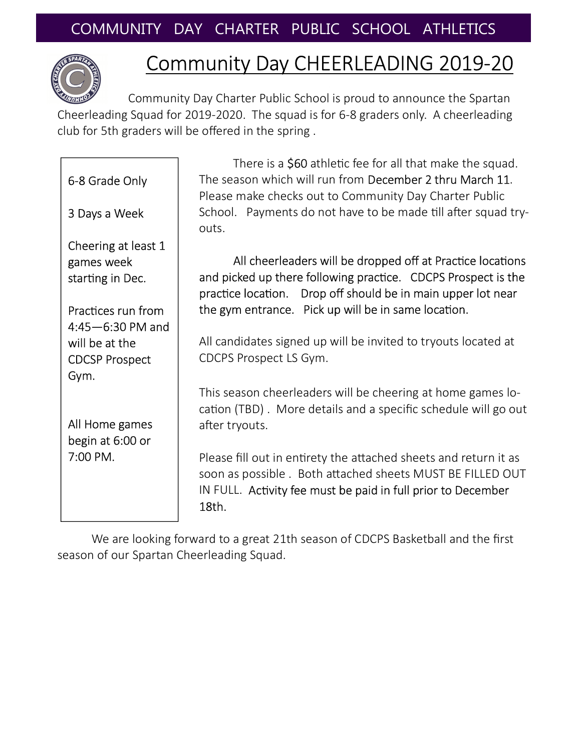

## Community Day CHEERLEADING 2019-20

There is a \$60 athletic fee for all that make the squad.

Community Day Charter Public School is proud to announce the Spartan Cheerleading Squad for 2019-2020. The squad is for 6-8 graders only. A cheerleading club for 5th graders will be offered in the spring .

| 6-8 Grade Only                                        | The season which will run from December 2 thru March 11.<br>Please make checks out to Community Day Charter Public                                                                                     |
|-------------------------------------------------------|--------------------------------------------------------------------------------------------------------------------------------------------------------------------------------------------------------|
| 3 Days a Week                                         | School. Payments do not have to be made till after squad try-<br>outs.                                                                                                                                 |
| Cheering at least 1<br>games week<br>starting in Dec. | All cheerleaders will be dropped off at Practice locations<br>and picked up there following practice. CDCPS Prospect is the<br>practice location. Drop off should be in main upper lot near            |
| Practices run from<br>$4:45 - 6:30$ PM and            | the gym entrance. Pick up will be in same location.                                                                                                                                                    |
| will be at the                                        | All candidates signed up will be invited to tryouts located at                                                                                                                                         |
| <b>CDCSP Prospect</b>                                 | CDCPS Prospect LS Gym.                                                                                                                                                                                 |
| Gym.                                                  |                                                                                                                                                                                                        |
| All Home games                                        | This season cheerleaders will be cheering at home games lo-<br>cation (TBD). More details and a specific schedule will go out<br>after tryouts.                                                        |
| begin at 6:00 or                                      |                                                                                                                                                                                                        |
| 7:00 PM.                                              | Please fill out in entirety the attached sheets and return it as<br>soon as possible. Both attached sheets MUST BE FILLED OUT<br>IN FULL. Activity fee must be paid in full prior to December<br>18th. |
|                                                       | We are looking forward to a great 21th season of CDCPS Basketball and the first                                                                                                                        |

e looking forward to a great 21th season of CDCPS Basketball and the first season of our Spartan Cheerleading Squad.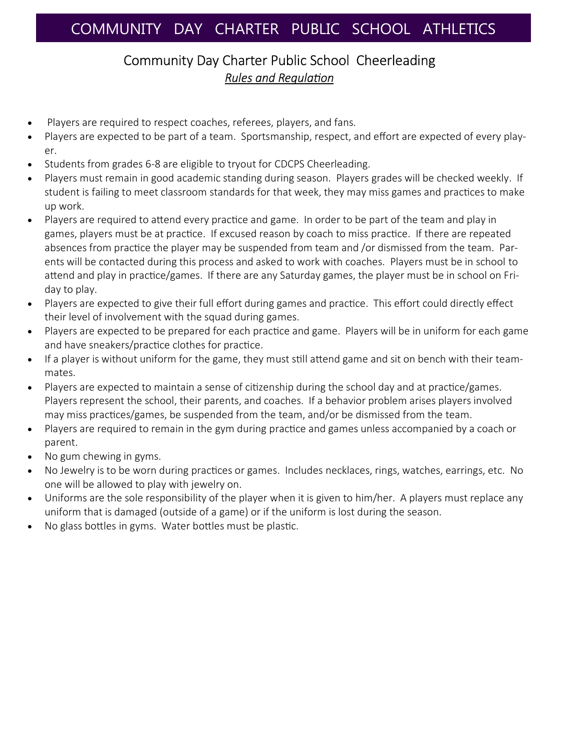## Community Day Charter Public School Cheerleading **Rules and Regulation**

- Players are required to respect coaches, referees, players, and fans.
- Players are expected to be part of a team. Sportsmanship, respect, and effort are expected of every player.
- Students from grades 6-8 are eligible to tryout for CDCPS Cheerleading.
- Players must remain in good academic standing during season. Players grades will be checked weekly. If student is failing to meet classroom standards for that week, they may miss games and practices to make up work.
- Players are required to attend every practice and game. In order to be part of the team and play in games, players must be at practice. If excused reason by coach to miss practice. If there are repeated absences from practice the player may be suspended from team and /or dismissed from the team. Parents will be contacted during this process and asked to work with coaches. Players must be in school to attend and play in practice/games. If there are any Saturday games, the player must be in school on Friday to play.
- Players are expected to give their full effort during games and practice. This effort could directly effect their level of involvement with the squad during games.
- Players are expected to be prepared for each practice and game. Players will be in uniform for each game and have sneakers/practice clothes for practice.
- If a player is without uniform for the game, they must still attend game and sit on bench with their teammates.
- Players are expected to maintain a sense of citizenship during the school day and at practice/games. Players represent the school, their parents, and coaches. If a behavior problem arises players involved may miss practices/games, be suspended from the team, and/or be dismissed from the team.
- Players are required to remain in the gym during practice and games unless accompanied by a coach or parent.
- No gum chewing in gyms.
- No Jewelry is to be worn during practices or games. Includes necklaces, rings, watches, earrings, etc. No one will be allowed to play with jewelry on.
- Uniforms are the sole responsibility of the player when it is given to him/her. A players must replace any uniform that is damaged (outside of a game) or if the uniform is lost during the season.
- No glass bottles in gyms. Water bottles must be plastic.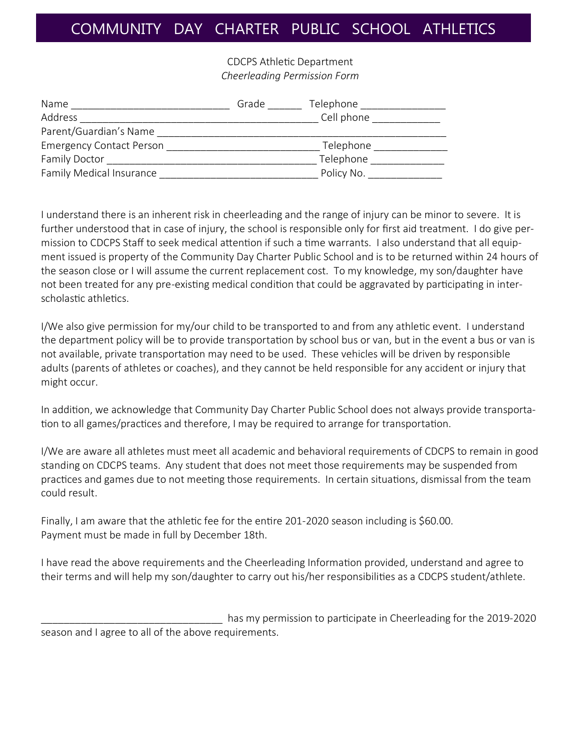## COMMUNITY DAY CHARTER PUBLIC SCHOOL ATHLETICS

CDCPS Athletic Department *Cheerleading Permission Form* 

| Name                            | Grade | Telephone  |
|---------------------------------|-------|------------|
| Address                         |       | Cell phone |
| Parent/Guardian's Name          |       |            |
| <b>Emergency Contact Person</b> |       | Telephone  |
| <b>Family Doctor</b>            |       | Telephone  |
| Family Medical Insurance        |       | Policy No. |

I understand there is an inherent risk in cheerleading and the range of injury can be minor to severe. It is further understood that in case of injury, the school is responsible only for first aid treatment. I do give permission to CDCPS Staff to seek medical attention if such a time warrants. I also understand that all equipment issued is property of the Community Day Charter Public School and is to be returned within 24 hours of the season close or I will assume the current replacement cost. To my knowledge, my son/daughter have not been treated for any pre-existing medical condition that could be aggravated by participating in interscholastic athletics.

I/We also give permission for my/our child to be transported to and from any athletic event. I understand the department policy will be to provide transportation by school bus or van, but in the event a bus or van is not available, private transportation may need to be used. These vehicles will be driven by responsible adults (parents of athletes or coaches), and they cannot be held responsible for any accident or injury that might occur.

In addition, we acknowledge that Community Day Charter Public School does not always provide transportation to all games/practices and therefore, I may be required to arrange for transportation.

I/We are aware all athletes must meet all academic and behavioral requirements of CDCPS to remain in good standing on CDCPS teams. Any student that does not meet those requirements may be suspended from practices and games due to not meeting those requirements. In certain situations, dismissal from the team could result.

Finally, I am aware that the athletic fee for the entire 201-2020 season including is  $$60.00$ . Payment must be made in full by December 18th.

I have read the above requirements and the Cheerleading Information provided, understand and agree to their terms and will help my son/daughter to carry out his/her responsibilities as a CDCPS student/athlete.

has my permission to participate in Cheerleading for the 2019-2020 season and I agree to all of the above requirements.